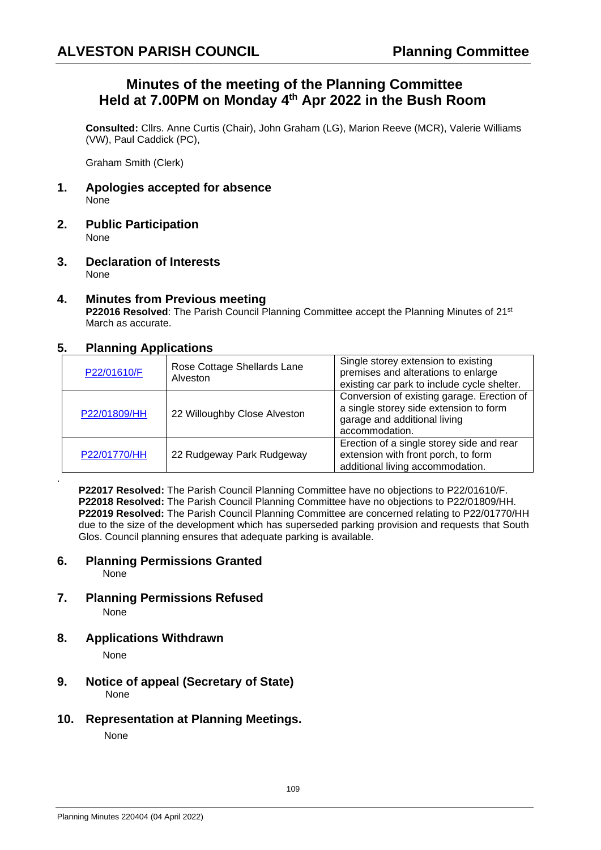## **Minutes of the meeting of the Planning Committee Held at 7.00PM on Monday 4 th Apr 2022 in the Bush Room**

**Consulted:** Cllrs. Anne Curtis (Chair), John Graham (LG), Marion Reeve (MCR), Valerie Williams (VW), Paul Caddick (PC),

Graham Smith (Clerk)

- **1. Apologies accepted for absence** None
- **2. Public Participation** None
- **3. Declaration of Interests** None
- **4. Minutes from Previous meeting P22016 Resolved**: The Parish Council Planning Committee accept the Planning Minutes of 21st March as accurate.

### **5. Planning Applications**

| P22/01610/F  | Rose Cottage Shellards Lane<br>Alveston | Single storey extension to existing<br>premises and alterations to enlarge<br>existing car park to include cycle shelter.              |
|--------------|-----------------------------------------|----------------------------------------------------------------------------------------------------------------------------------------|
| P22/01809/HH | 22 Willoughby Close Alveston            | Conversion of existing garage. Erection of<br>a single storey side extension to form<br>garage and additional living<br>accommodation. |
| P22/01770/HH | 22 Rudgeway Park Rudgeway               | Erection of a single storey side and rear<br>extension with front porch, to form<br>additional living accommodation.                   |

**P22017 Resolved:** The Parish Council Planning Committee have no objections to P22/01610/F. **P22018 Resolved:** The Parish Council Planning Committee have no objections to P22/01809/HH. **P22019 Resolved:** The Parish Council Planning Committee are concerned relating to P22/01770/HH due to the size of the development which has superseded parking provision and requests that South Glos. Council planning ensures that adequate parking is available.

# **6. Planning Permissions Granted**

None

.

- **7. Planning Permissions Refused** None
- **8. Applications Withdrawn**

None

- **9. Notice of appeal (Secretary of State)**  None
- **10. Representation at Planning Meetings.**

None